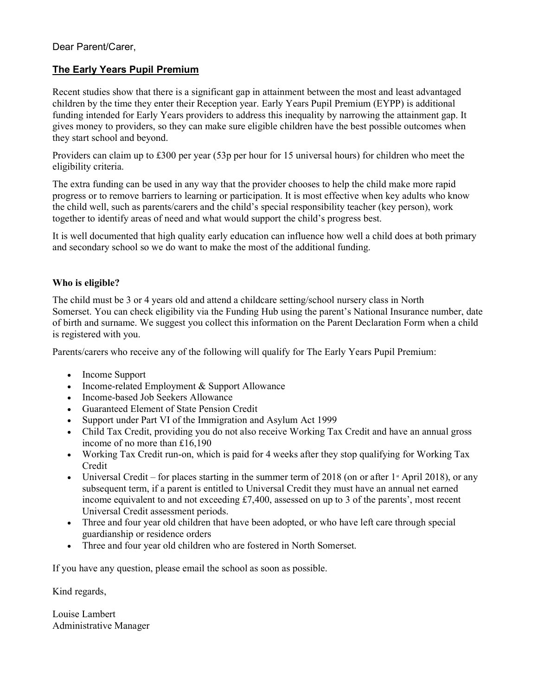Dear Parent/Carer,

## The Early Years Pupil Premium

Recent studies show that there is a significant gap in attainment between the most and least advantaged children by the time they enter their Reception year. Early Years Pupil Premium (EYPP) is additional funding intended for Early Years providers to address this inequality by narrowing the attainment gap. It gives money to providers, so they can make sure eligible children have the best possible outcomes when they start school and beyond.

Providers can claim up to £300 per year (53p per hour for 15 universal hours) for children who meet the eligibility criteria.

The extra funding can be used in any way that the provider chooses to help the child make more rapid progress or to remove barriers to learning or participation. It is most effective when key adults who know the child well, such as parents/carers and the child's special responsibility teacher (key person), work together to identify areas of need and what would support the child's progress best.

It is well documented that high quality early education can influence how well a child does at both primary and secondary school so we do want to make the most of the additional funding.

## Who is eligible?

The child must be 3 or 4 years old and attend a childcare setting/school nursery class in North Somerset. You can check eligibility via the Funding Hub using the parent's National Insurance number, date of birth and surname. We suggest you collect this information on the Parent Declaration Form when a child is registered with you.

Parents/carers who receive any of the following will qualify for The Early Years Pupil Premium:

- Income Support
- Income-related Employment & Support Allowance
- Income-based Job Seekers Allowance
- Guaranteed Element of State Pension Credit
- Support under Part VI of the Immigration and Asylum Act 1999
- Child Tax Credit, providing you do not also receive Working Tax Credit and have an annual gross income of no more than £16,190
- Working Tax Credit run-on, which is paid for 4 weeks after they stop qualifying for Working Tax Credit
- Universal Credit for places starting in the summer term of 2018 (on or after  $1$ <sup>s</sup> April 2018), or any subsequent term, if a parent is entitled to Universal Credit they must have an annual net earned income equivalent to and not exceeding £7,400, assessed on up to 3 of the parents', most recent Universal Credit assessment periods.
- Three and four year old children that have been adopted, or who have left care through special guardianship or residence orders
- Three and four year old children who are fostered in North Somerset.

If you have any question, please email the school as soon as possible.

Kind regards,

Louise Lambert Administrative Manager